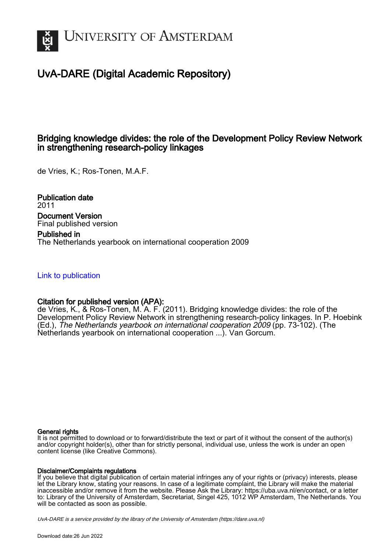

# UvA-DARE (Digital Academic Repository)

# Bridging knowledge divides: the role of the Development Policy Review Network in strengthening research-policy linkages

de Vries, K.; Ros-Tonen, M.A.F.

Publication date 2011 Document Version Final published version Published in The Netherlands yearbook on international cooperation 2009

[Link to publication](https://dare.uva.nl/personal/pure/en/publications/bridging-knowledge-divides-the-role-of-the-development-policy-review-network-in-strengthening-researchpolicy-linkages(fc293c22-d47d-4173-b259-22c95f41626b).html)

# Citation for published version (APA):

de Vries, K., & Ros-Tonen, M. A. F. (2011). Bridging knowledge divides: the role of the Development Policy Review Network in strengthening research-policy linkages. In P. Hoebink (Ed.), The Netherlands yearbook on international cooperation 2009 (pp. 73-102). (The Netherlands yearbook on international cooperation ...). Van Gorcum.

# General rights

It is not permitted to download or to forward/distribute the text or part of it without the consent of the author(s) and/or copyright holder(s), other than for strictly personal, individual use, unless the work is under an open content license (like Creative Commons).

# Disclaimer/Complaints regulations

If you believe that digital publication of certain material infringes any of your rights or (privacy) interests, please let the Library know, stating your reasons. In case of a legitimate complaint, the Library will make the material inaccessible and/or remove it from the website. Please Ask the Library: https://uba.uva.nl/en/contact, or a letter to: Library of the University of Amsterdam, Secretariat, Singel 425, 1012 WP Amsterdam, The Netherlands. You will be contacted as soon as possible.

UvA-DARE is a service provided by the library of the University of Amsterdam (http*s*://dare.uva.nl)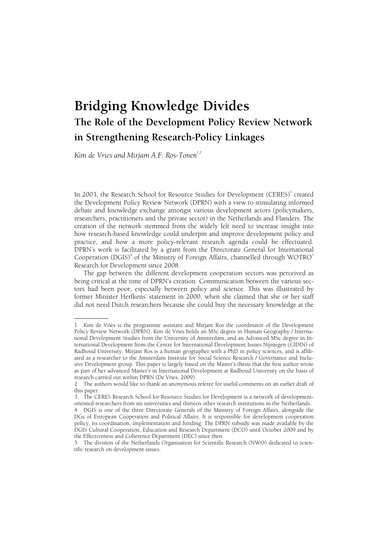# **Bridging Knowledge Divides The Role of the Development Policy Review Network in Strengthening Research-Policy Linkages**

Kim de Vries and Mirjam A.F. Ros-Tonen<sup>1,2</sup>

In 2003, the Research School for Resource Studies for Development (CERES)<sup>3</sup> created the Development Policy Review Network (DPRN) with a view to stimulating informed debate and knowledge exchange amongst various development actors (policymakers, researchers, practitioners and the private sector) in the Netherlands and Flanders. The creation of the network stemmed from the widely felt need to increase insight into how research-based knowledge could underpin and improve development policy and practice, and how a more policy-relevant research agenda could be effectuated. DPRN's work is facilitated by a grant from the Directorate General for International Cooperation (DGIS)<sup>4</sup> of the Ministry of Foreign Affairs, channelled through WOTRO<sup>5</sup> Research for Development since 2008.

 The gap between the different development cooperation sectors was perceived as being critical at the time of DPRN's creation. Communication between the various sectors had been poor, especially between policy and science. This was illustrated by former Minister Herfkens' statement in 2000, when she claimed that she or her staff did not need Dutch researchers because she could buy the necessary knowledge at the

<sup>––––––––––</sup>  1 Kim de Vries is the programme assistant and Mirjam Ros the coordinator of the Development Policy Review Network (DPRN). Kim de Vries holds an MSc degree in Human Geography / International Development Studies from the University of Amsterdam, and an Advanced MSc degree in International Development from the Centre for International Development Issues Nijmegen (CIDIN) of Radboud University. Mirjam Ros is a human geographer with a PhD in policy sciences, and is affiliated as a researcher to the Amsterdam Institute for Social Science Research / Governance and Inclusive Development group. This paper is largely based on the Master's thesis that the first author wrote as part of her advanced Master's in International Development at Radboud University on the basis of research carried out within DPRN (De Vries, 2009).

<sup>2</sup> The authors would like to thank an anonymous referee for useful comments on an earlier draft of this paper.

<sup>3</sup> The CERES Research School for Resource Studies for Development is a network of developmentoriented researchers from six universities and thirteen other research institutions in the Netherlands.

<sup>4</sup> DGIS is one of the three Directorate Generals of the Ministry of Foreign Affairs, alongside the DGs of European Cooperation and Political Affairs. It is responsible for development cooperation policy, its coordination, implementation and funding. The DPRN subsidy was made available by the DGIS Cultural Cooperation, Education and Research Department (DCO) until October 2009 and by the Effectiveness and Coherence Department (DEC) since then.

<sup>5</sup> The division of the Netherlands Organisation for Scientific Research (NWO) dedicated to scientific research on development issues.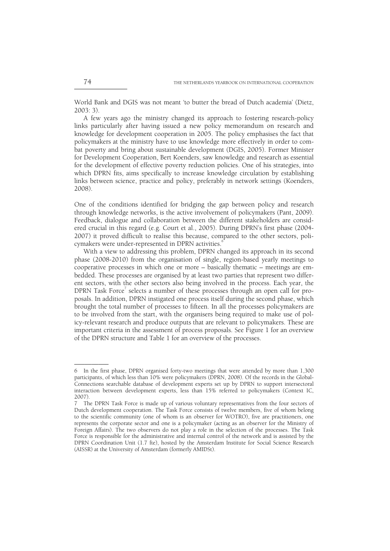World Bank and DGIS was not meant 'to butter the bread of Dutch academia' (Dietz, 2003: 3).

 A few years ago the ministry changed its approach to fostering research-policy links particularly after having issued a new policy memorandum on research and knowledge for development cooperation in 2005. The policy emphasises the fact that policymakers at the ministry have to use knowledge more effectively in order to combat poverty and bring about sustainable development (DGIS, 2005). Former Minister for Development Cooperation, Bert Koenders, saw knowledge and research as essential for the development of effective poverty reduction policies. One of his strategies, into which DPRN fits, aims specifically to increase knowledge circulation by establishing links between science, practice and policy, preferably in network settings (Koenders, 2008).

One of the conditions identified for bridging the gap between policy and research through knowledge networks, is the active involvement of policymakers (Pant, 2009). Feedback, dialogue and collaboration between the different stakeholders are considered crucial in this regard (e.g. Court et al., 2005). During DPRN's first phase (2004- 2007) it proved difficult to realise this because, compared to the other sectors, policymakers were under-represented in DPRN activities.<sup>6</sup>

 With a view to addressing this problem, DPRN changed its approach in its second phase (2008-2010) from the organisation of single, region-based yearly meetings to cooperative processes in which one or more – basically thematic – meetings are embedded. These processes are organised by at least two parties that represent two different sectors, with the other sectors also being involved in the process. Each year, the DPRN Task Force<sup>7</sup> selects a number of these processes through an open call for proposals. In addition, DPRN instigated one process itself during the second phase, which brought the total number of processes to fifteen. In all the processes policymakers are to be involved from the start, with the organisers being required to make use of policy-relevant research and produce outputs that are relevant to policymakers. These are important criteria in the assessment of process proposals. See Figure 1 for an overview of the DPRN structure and Table 1 for an overview of the processes.

<sup>6</sup> In the first phase, DPRN organised forty-two meetings that were attended by more than 1,300 participants, of which less than 10% were policymakers (DPRN, 2008). Of the records in the Global-Connections searchable database of development experts set up by DPRN to support intersectoral interaction between development experts, less than 15% referred to policymakers (Context IC, 2007).

<sup>7</sup> The DPRN Task Force is made up of various voluntary representatives from the four sectors of Dutch development cooperation. The Task Force consists of twelve members, five of whom belong to the scientific community (one of whom is an observer for WOTRO), five are practitioners, one represents the corporate sector and one is a policymaker (acting as an observer for the Ministry of Foreign Affairs). The two observers do not play a role in the selection of the processes. The Task Force is responsible for the administrative and internal control of the network and is assisted by the DPRN Coordination Unit (1.7 fte), hosted by the Amsterdam Institute for Social Science Research (AISSR) at the University of Amsterdam (formerly AMIDSt).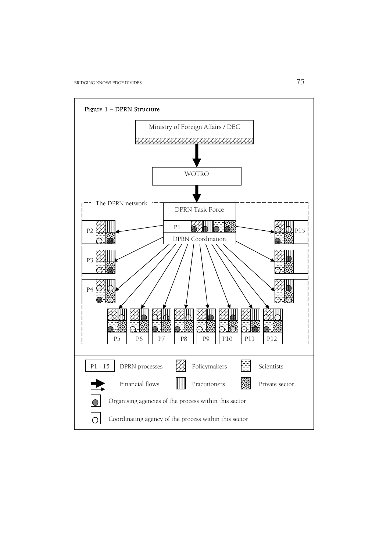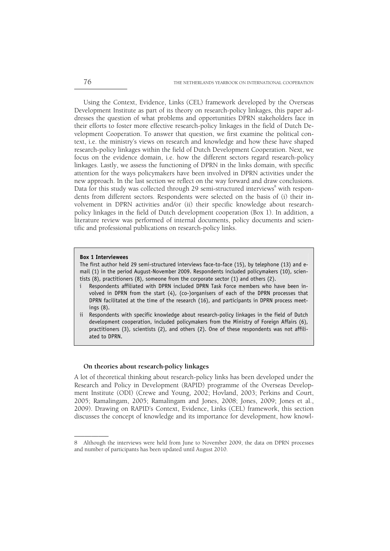Using the Context, Evidence, Links (CEL) framework developed by the Overseas Development Institute as part of its theory on research-policy linkages, this paper addresses the question of what problems and opportunities DPRN stakeholders face in their efforts to foster more effective research-policy linkages in the field of Dutch Development Cooperation. To answer that question, we first examine the political context, i.e. the ministry's views on research and knowledge and how these have shaped research-policy linkages within the field of Dutch Development Cooperation. Next, we focus on the evidence domain, i.e. how the different sectors regard research-policy linkages. Lastly, we assess the functioning of DPRN in the links domain, with specific attention for the ways policymakers have been involved in DPRN activities under the new approach. In the last section we reflect on the way forward and draw conclusions. Data for this study was collected through 29 semi-structured interviews<sup>8</sup> with respondents from different sectors. Respondents were selected on the basis of (i) their involvement in DPRN activities and/or (ii) their specific knowledge about researchpolicy linkages in the field of Dutch development cooperation (Box 1). In addition, a literature review was performed of internal documents, policy documents and scientific and professional publications on research-policy links.

#### **Box 1 Interviewees**

––––––––––

The first author held 29 semi-structured interviews face-to-face (15), by telephone (13) and email (1) in the period August-November 2009. Respondents included policymakers (10), scientists (8), practitioners (8), someone from the corporate sector (1) and others (2).

- Respondents affiliated with DPRN included DPRN Task Force members who have been involved in DPRN from the start (4), (co-)organisers of each of the DPRN processes that DPRN facilitated at the time of the research (16), and participants in DPRN process meetings (8).
- ii Respondents with specific knowledge about research-policy linkages in the field of Dutch development cooperation, included policymakers from the Ministry of Foreign Affairs (6), practitioners (3), scientists (2), and others (2). One of these respondents was not affiliated to DPRN.

#### **On theories about research-policy linkages**

A lot of theoretical thinking about research-policy links has been developed under the Research and Policy in Development (RAPID) programme of the Overseas Development Institute (ODI) (Crewe and Young, 2002; Hovland, 2003; Perkins and Court, 2005; Ramalingam, 2005; Ramalingam and Jones, 2008; Jones, 2009; Jones et al., 2009). Drawing on RAPID's Context, Evidence, Links (CEL) framework, this section discusses the concept of knowledge and its importance for development, how knowl-

<sup>8</sup> Although the interviews were held from June to November 2009, the data on DPRN processes and number of participants has been updated until August 2010.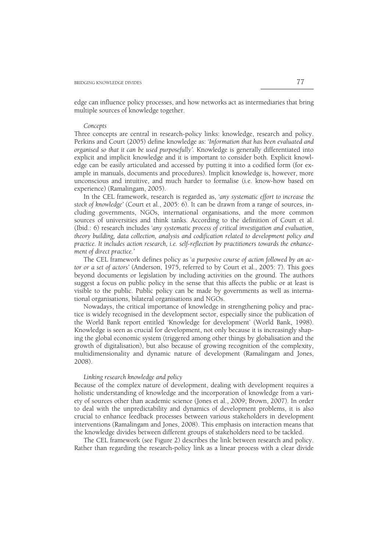edge can influence policy processes, and how networks act as intermediaries that bring multiple sources of knowledge together.

#### *Concepts*

Three concepts are central in research-policy links: knowledge, research and policy. Perkins and Court (2005) define knowledge as: '*Information that has been evaluated and organised so that it can be used purposefully'.* Knowledge is generally differentiated into explicit and implicit knowledge and it is important to consider both. Explicit knowledge can be easily articulated and accessed by putting it into a codified form (for example in manuals, documents and procedures). Implicit knowledge is, however, more unconscious and intuitive, and much harder to formalise (i.e. know-how based on experience) (Ramalingam, 2005).

 In the CEL framework, research is regarded as, '*any systematic effort to increase the stock of knowledge'* (Court et al., 2005: 6). It can be drawn from a range of sources, including governments, NGOs, international organisations, and the more common sources of universities and think tanks. According to the definition of Court et al. (Ibid.: 6) research includes '*any systematic process of critical investigation and evaluation, theory building, data collection, analysis and codification related to development policy and practice. It includes action research, i.e. self-reflection by practitioners towards the enhancement of direct practice.'* 

 The CEL framework defines policy as '*a purposive course of action followed by an actor or a set of actors'* (Anderson, 1975, referred to by Court et al., 2005: 7). This goes beyond documents or legislation by including activities on the ground. The authors suggest a focus on public policy in the sense that this affects the public or at least is visible to the public. Public policy can be made by governments as well as international organisations, bilateral organisations and NGOs.

 Nowadays, the critical importance of knowledge in strengthening policy and practice is widely recognised in the development sector, especially since the publication of the World Bank report entitled 'Knowledge for development' (World Bank, 1998). Knowledge is seen as crucial for development, not only because it is increasingly shaping the global economic system (triggered among other things by globalisation and the growth of digitalisation), but also because of growing recognition of the complexity, multidimensionality and dynamic nature of development (Ramalingam and Jones, 2008).

# *Linking research knowledge and policy*

Because of the complex nature of development, dealing with development requires a holistic understanding of knowledge and the incorporation of knowledge from a variety of sources other than academic science (Jones et al., 2009; Brown, 2007). In order to deal with the unpredictability and dynamics of development problems, it is also crucial to enhance feedback processes between various stakeholders in development interventions (Ramalingam and Jones, 2008). This emphasis on interaction means that the knowledge divides between different groups of stakeholders need to be tackled.

 The CEL framework (see Figure 2) describes the link between research and policy. Rather than regarding the research-policy link as a linear process with a clear divide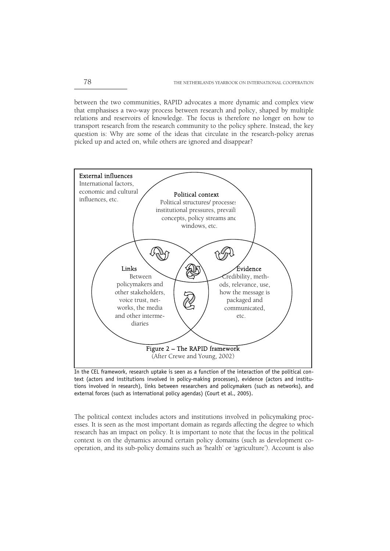between the two communities, RAPID advocates a more dynamic and complex view that emphasises a two-way process between research and policy, shaped by multiple relations and reservoirs of knowledge. The focus is therefore no longer on how to transport research from the research community to the policy sphere. Instead, the key question is: Why are some of the ideas that circulate in the research-policy arenas picked up and acted on, while others are ignored and disappear?



In the CEL framework, research uptake is seen as a function of the interaction of the political context (actors and institutions involved in policy-making processes), evidence (actors and institutions involved in research), links between researchers and policymakers (such as networks), and external forces (such as international policy agendas) (Court et al., 2005).

The political context includes actors and institutions involved in policymaking processes. It is seen as the most important domain as regards affecting the degree to which research has an impact on policy. It is important to note that the focus in the political context is on the dynamics around certain policy domains (such as development cooperation, and its sub-policy domains such as 'health' or 'agriculture'). Account is also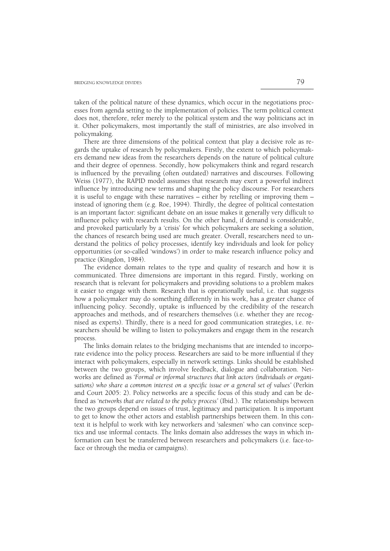taken of the political nature of these dynamics, which occur in the negotiations processes from agenda setting to the implementation of policies. The term political context does not, therefore, refer merely to the political system and the way politicians act in it. Other policymakers, most importantly the staff of ministries, are also involved in policymaking.

 There are three dimensions of the political context that play a decisive role as regards the uptake of research by policymakers. Firstly, the extent to which policymakers demand new ideas from the researchers depends on the nature of political culture and their degree of openness. Secondly, how policymakers think and regard research is influenced by the prevailing (often outdated) narratives and discourses. Following Weiss (1977), the RAPID model assumes that research may exert a powerful indirect influence by introducing new terms and shaping the policy discourse. For researchers it is useful to engage with these narratives – either by retelling or improving them – instead of ignoring them (e.g. Roe, 1994). Thirdly, the degree of political contestation is an important factor: significant debate on an issue makes it generally very difficult to influence policy with research results. On the other hand, if demand is considerable, and provoked particularly by a 'crisis' for which policymakers are seeking a solution, the chances of research being used are much greater. Overall, researchers need to understand the politics of policy processes, identify key individuals and look for policy opportunities (or so-called 'windows') in order to make research influence policy and practice (Kingdon, 1984).

 The evidence domain relates to the type and quality of research and how it is communicated. Three dimensions are important in this regard. Firstly, working on research that is relevant for policymakers and providing solutions to a problem makes it easier to engage with them. Research that is operationally useful, i.e. that suggests how a policymaker may do something differently in his work, has a greater chance of influencing policy. Secondly, uptake is influenced by the credibility of the research approaches and methods, and of researchers themselves (i.e. whether they are recognised as experts). Thirdly, there is a need for good communication strategies, i.e. researchers should be willing to listen to policymakers and engage them in the research process.

 The links domain relates to the bridging mechanisms that are intended to incorporate evidence into the policy process. Researchers are said to be more influential if they interact with policymakers, especially in network settings. Links should be established between the two groups, which involve feedback, dialogue and collaboration. Networks are defined as '*Formal or informal structures that link actors (individuals or organisations) who share a common interest on a specific issue or a general set of values'* (Perkin and Court 2005: 2). Policy networks are a specific focus of this study and can be defined as '*networks that are related to the policy process'* (Ibid.). The relationships between the two groups depend on issues of trust, legitimacy and participation. It is important to get to know the other actors and establish partnerships between them. In this context it is helpful to work with key networkers and 'salesmen' who can convince sceptics and use informal contacts. The links domain also addresses the ways in which information can best be transferred between researchers and policymakers (i.e. face-toface or through the media or campaigns).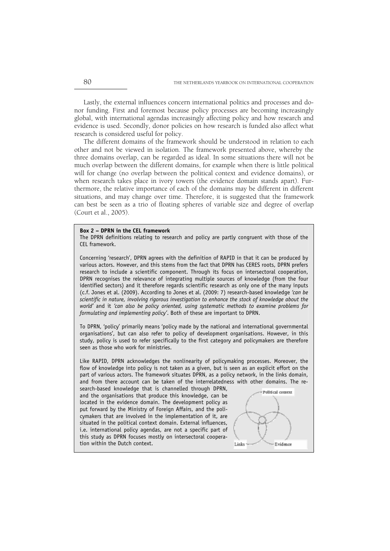Lastly, the external influences concern international politics and processes and donor funding. First and foremost because policy processes are becoming increasingly global, with international agendas increasingly affecting policy and how research and evidence is used. Secondly, donor policies on how research is funded also affect what research is considered useful for policy.

 The different domains of the framework should be understood in relation to each other and not be viewed in isolation. The framework presented above, whereby the three domains overlap, can be regarded as ideal. In some situations there will not be much overlap between the different domains, for example when there is little political will for change (no overlap between the political context and evidence domains), or when research takes place in ivory towers (the evidence domain stands apart). Furthermore, the relative importance of each of the domains may be different in different situations, and may change over time. Therefore, it is suggested that the framework can best be seen as a trio of floating spheres of variable size and degree of overlap (Court et al., 2005).

#### **Box 2 – DPRN in the CEL framework**

The DPRN definitions relating to research and policy are partly congruent with those of the CEL framework.

Concerning 'research', DPRN agrees with the definition of RAPID in that it can be produced by various actors. However, and this stems from the fact that DPRN has CERES roots, DPRN prefers research to include a scientific component. Through its focus on intersectoral cooperation, DPRN recognises the relevance of integrating multiple sources of knowledge (from the four identified sectors) and it therefore regards scientific research as only one of the many inputs (c.f. Jones et al. (2009). According to Jones et al. (2009: 7) research-based knowledge *'can be scientific in nature, involving rigorous investigation to enhance the stock of knowledge about the world'* and it *'can also be policy oriented, using systematic methods to examine problems for formulating and implementing policy'*. Both of these are important to DPRN.

To DPRN, 'policy' primarily means 'policy made by the national and international governmental organisations', but can also refer to policy of development organisations. However, in this study, policy is used to refer specifically to the first category and policymakers are therefore seen as those who work for ministries.

Like RAPID, DPRN acknowledges the nonlinearity of policymaking processes. Moreover, the flow of knowledge into policy is not taken as a given, but is seen as an explicit effort on the part of various actors. The framework situates DPRN, as a policy network, in the links domain, and from there account can be taken of the interrelatedness with other domains. The re-

search-based knowledge that is channelled through DPRN, and the organisations that produce this knowledge, can be located in the evidence domain. The development policy as put forward by the Ministry of Foreign Affairs, and the policymakers that are involved in the implementation of it, are situated in the political context domain. External influences, i.e. international policy agendas, are not a specific part of this study as DPRN focuses mostly on intersectoral cooperation within the Dutch context.

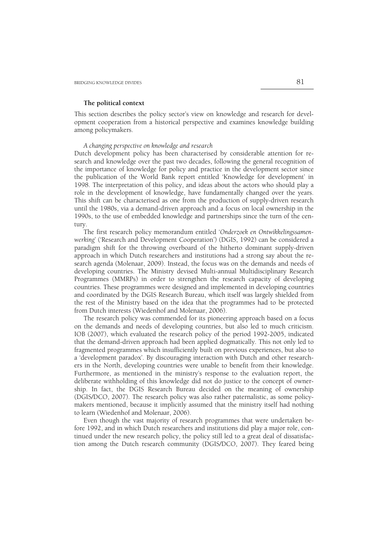#### **The political context**

This section describes the policy sector's view on knowledge and research for development cooperation from a historical perspective and examines knowledge building among policymakers.

 *A changing perspective on knowledge and research* 

Dutch development policy has been characterised by considerable attention for research and knowledge over the past two decades, following the general recognition of the importance of knowledge for policy and practice in the development sector since the publication of the World Bank report entitled 'Knowledge for development' in 1998. The interpretation of this policy, and ideas about the actors who should play a role in the development of knowledge, have fundamentally changed over the years. This shift can be characterised as one from the production of supply-driven research until the 1980s, via a demand-driven approach and a focus on local ownership in the 1990s, to the use of embedded knowledge and partnerships since the turn of the century.

 The first research policy memorandum entitled '*Onderzoek en Ontwikkelingssamenwerking*' ('Research and Development Cooperation') (DGIS, 1992) can be considered a paradigm shift for the throwing overboard of the hitherto dominant supply-driven approach in which Dutch researchers and institutions had a strong say about the research agenda (Molenaar, 2009). Instead, the focus was on the demands and needs of developing countries. The Ministry devised Multi-annual Multidisciplinary Research Programmes (MMRPs) in order to strengthen the research capacity of developing countries. These programmes were designed and implemented in developing countries and coordinated by the DGIS Research Bureau, which itself was largely shielded from the rest of the Ministry based on the idea that the programmes had to be protected from Dutch interests (Wiedenhof and Molenaar, 2006).

 The research policy was commended for its pioneering approach based on a focus on the demands and needs of developing countries, but also led to much criticism. IOB (2007), which evaluated the research policy of the period 1992-2005, indicated that the demand-driven approach had been applied dogmatically. This not only led to fragmented programmes which insufficiently built on previous experiences, but also to a 'development paradox'. By discouraging interaction with Dutch and other researchers in the North, developing countries were unable to benefit from their knowledge. Furthermore, as mentioned in the ministry's response to the evaluation report, the deliberate withholding of this knowledge did not do justice to the concept of ownership. In fact, the DGIS Research Bureau decided on the meaning of ownership (DGIS/DCO, 2007). The research policy was also rather paternalistic, as some policymakers mentioned, because it implicitly assumed that the ministry itself had nothing to learn (Wiedenhof and Molenaar, 2006).

 Even though the vast majority of research programmes that were undertaken before 1992, and in which Dutch researchers and institutions did play a major role, continued under the new research policy, the policy still led to a great deal of dissatisfaction among the Dutch research community (DGIS/DCO, 2007). They feared being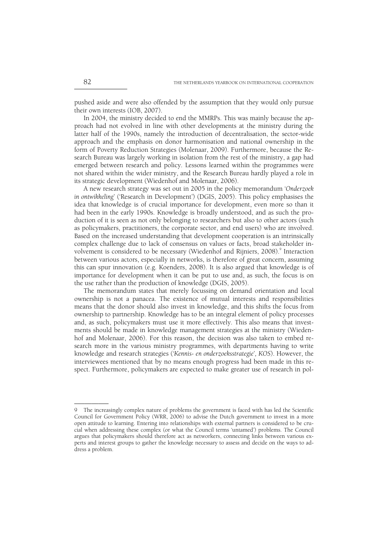pushed aside and were also offended by the assumption that they would only pursue their own interests (IOB, 2007).

 In 2004, the ministry decided to end the MMRPs. This was mainly because the approach had not evolved in line with other developments at the ministry during the latter half of the 1990s, namely the introduction of decentralisation, the sector-wide approach and the emphasis on donor harmonisation and national ownership in the form of Poverty Reduction Strategies (Molenaar, 2009). Furthermore, because the Research Bureau was largely working in isolation from the rest of the ministry, a gap had emerged between research and policy. Lessons learned within the programmes were not shared within the wider ministry, and the Research Bureau hardly played a role in its strategic development (Wiedenhof and Molenaar, 2006).

 A new research strategy was set out in 2005 in the policy memorandum '*Onderzoek in ontwikkeling*' ('Research in Development') (DGIS, 2005). This policy emphasises the idea that knowledge is of crucial importance for development, even more so than it had been in the early 1990s. Knowledge is broadly understood, and as such the production of it is seen as not only belonging to researchers but also to other actors (such as policymakers, practitioners, the corporate sector, and end users) who are involved. Based on the increased understanding that development cooperation is an intrinsically complex challenge due to lack of consensus on values or facts, broad stakeholder involvement is considered to be necessary (Wiedenhof and Rijniers, 2008). Interaction between various actors, especially in networks, is therefore of great concern, assuming this can spur innovation (e.g. Koenders, 2008). It is also argued that knowledge is of importance for development when it can be put to use and, as such, the focus is on the use rather than the production of knowledge (DGIS, 2005).

 The memorandum states that merely focussing on demand orientation and local ownership is not a panacea. The existence of mutual interests and responsibilities means that the donor should also invest in knowledge, and this shifts the focus from ownership to partnership. Knowledge has to be an integral element of policy processes and, as such, policymakers must use it more effectively. This also means that investments should be made in knowledge management strategies at the ministry (Wiedenhof and Molenaar, 2006). For this reason, the decision was also taken to embed research more in the various ministry programmes, with departments having to write knowledge and research strategies ('*Kennis- en onderzoeksstrategie*'*, KOS*). However, the interviewees mentioned that by no means enough progress had been made in this respect. Furthermore, policymakers are expected to make greater use of research in pol-

<sup>9</sup> The increasingly complex nature of problems the government is faced with has led the Scientific Council for Government Policy (WRR, 2006) to advise the Dutch government to invest in a more open attitude to learning. Entering into relationships with external partners is considered to be crucial when addressing these complex (or what the Council terms 'untamed') problems. The Council argues that policymakers should therefore act as networkers, connecting links between various experts and interest groups to gather the knowledge necessary to assess and decide on the ways to address a problem.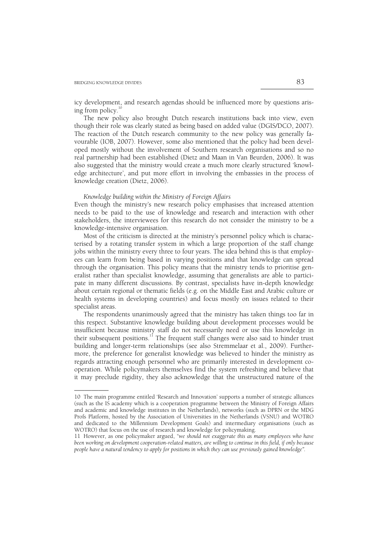––––––––––

icy development, and research agendas should be influenced more by questions arising from policy.

 The new policy also brought Dutch research institutions back into view, even though their role was clearly stated as being based on added value (DGIS/DCO, 2007). The reaction of the Dutch research community to the new policy was generally favourable (IOB, 2007). However, some also mentioned that the policy had been developed mostly without the involvement of Southern research organisations and so no real partnership had been established (Dietz and Maan in Van Beurden, 2006). It was also suggested that the ministry would create a much more clearly structured 'knowledge architecture', and put more effort in involving the embassies in the process of knowledge creation (Dietz, 2006).

### *Knowledge building within the Ministry of Foreign Affairs*

Even though the ministry's new research policy emphasises that increased attention needs to be paid to the use of knowledge and research and interaction with other stakeholders, the interviewees for this research do not consider the ministry to be a knowledge-intensive organisation.

 Most of the criticism is directed at the ministry's personnel policy which is characterised by a rotating transfer system in which a large proportion of the staff change jobs within the ministry every three to four years. The idea behind this is that employees can learn from being based in varying positions and that knowledge can spread through the organisation. This policy means that the ministry tends to prioritise generalist rather than specialist knowledge, assuming that generalists are able to participate in many different discussions. By contrast, specialists have in-depth knowledge about certain regional or thematic fields (e.g. on the Middle East and Arabic culture or health systems in developing countries) and focus mostly on issues related to their specialist areas.

 The respondents unanimously agreed that the ministry has taken things too far in this respect. Substantive knowledge building about development processes would be insufficient because ministry staff do not necessarily need or use this knowledge in their subsequent positions.<sup>11</sup> The frequent staff changes were also said to hinder trust building and longer-term relationships (see also Stremmelaar et al., 2009). Furthermore, the preference for generalist knowledge was believed to hinder the ministry as regards attracting enough personnel who are primarily interested in development cooperation. While policymakers themselves find the system refreshing and believe that it may preclude rigidity, they also acknowledge that the unstructured nature of the

<sup>10</sup> The main programme entitled 'Research and Innovation' supports a number of strategic alliances (such as the IS academy which is a cooperation programme between the Ministry of Foreign Affairs and academic and knowledge institutes in the Netherlands), networks (such as DPRN or the MDG Profs Platform, hosted by the Association of Universities in the Netherlands (VSNU) and WOTRO and dedicated to the Millennium Development Goals) and intermediary organisations (such as WOTRO) that focus on the use of research and knowledge for policymaking.

<sup>11</sup> However, as one policymaker argued, "*we should not exaggerate this as many employees who have been working on development cooperation-related matters, are willing to continue in this field, if only because people have a natural tendency to apply for positions in which they can use previously gained knowledge".*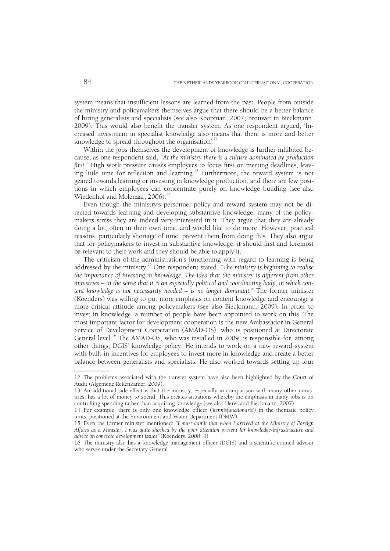system means that insufficient lessons are learned from the past. People from outside the ministry and policymakers themselves argue that there should be a better balance of hiring generalists and specialists (see also Koopman, 2007; Brouwer in Bieckmann, 2009). This would also benefit the transfer system. As one respondent argued, 'Increased investment in specialist knowledge also means that there is more and better knowledge to spread throughout the organisation'.<sup>12</sup>

 Within the jobs themselves the development of knowledge is further inhibited because, as one respondent said, *"At the ministry there is a culture dominated by production first."* High work pressure causes employees to focus first on meeting deadlines, leaving little time for reflection and learning.<sup>13</sup> Furthermore, the reward system is not geared towards learning or investing in knowledge production, and there are few positions in which employees can concentrate purely on knowledge building (see also Wiedenhof and Molenaar, 2006).<sup>14</sup>

 Even though the ministry's personnel policy and reward system may not be directed towards learning and developing substantive knowledge, many of the policymakers stress they are indeed very interested in it. They argue that they are already doing a lot, often in their own time, and would like to do more. However, practical reasons, particularly shortage of time, prevent them from doing this. They also argue that for policymakers to invest in substantive knowledge, it should first and foremost be relevant to their work and they should be able to apply it.

 The criticism of the administration's functioning with regard to learning is being addressed by the ministry.<sup>15</sup> One respondent stated, "The ministry is beginning to realise *the importance of investing in knowledge. The idea that the ministry is different from other ministries – in the sense that it is an especially political and coordinating body, in which content knowledge is not necessarily needed – is no longer dominant."* The former minister (Koenders) was willing to put more emphasis on content knowledge and encourage a more critical attitude among policymakers (see also Bieckmann, 2009). In order to invest in knowledge, a number of people have been appointed to work on this. The most important factor for development cooperation is the new Ambassador in General Service of Development Cooperation (AMAD-OS), who is positioned at Directorate General level.<sup>16</sup> The AMAD-OS, who was installed in 2009, is responsible for, among other things, DGIS' knowledge policy. He intends to work on a new reward system with built-in incentives for employees to invest more in knowledge and create a better balance between generalists and specialists. He also worked towards setting up four

<sup>12</sup> The problems associated with the transfer system have also been highlighted by the Court of Audit (Algemene Rekenkamer, 2009).

<sup>13</sup> An additional side effect is that the ministry, especially in comparison with many other ministries, has a lot of money to spend. This creates situations whereby the emphasis in many jobs is on controlling spending rather than acquiring knowledge (see also Heres and Bieckmann, 2007).

<sup>14</sup> For example, there is only one knowledge officer ('*kennisfunctionaris*') in the thematic policy units, positioned at the Environment and Water Department (DMW).

<sup>15</sup> Even the former minister mentioned: *"I must admit that when I arrived at the Ministry of Foreign Affairs as a Minister, I was quite shocked by the poor attention present for knowledge-infrastructure and advice on concrete development issues"* (Koenders, 2008: 4).

<sup>16</sup> The ministry also has a knowledge management officer (DGIS) and a scientific council advisor who serves under the Secretary General.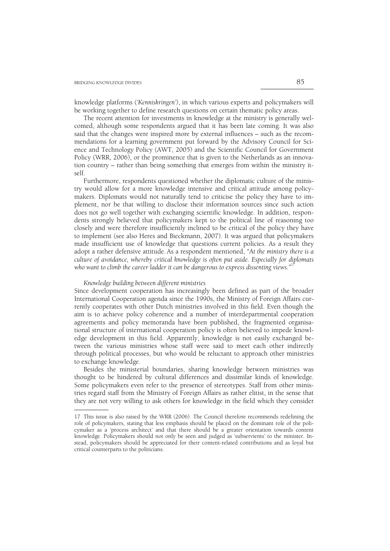knowledge platforms ('*Kenniskringen')*, in which various experts and policymakers will be working together to define research questions on certain thematic policy areas.

 The recent attention for investments in knowledge at the ministry is generally welcomed, although some respondents argued that it has been late coming. It was also said that the changes were inspired more by external influences – such as the recommendations for a learning government put forward by the Advisory Council for Science and Technology Policy (AWT, 2005) and the Scientific Council for Government Policy (WRR, 2006), or the prominence that is given to the Netherlands as an innovation country – rather than being something that emerges from within the ministry itself.

 Furthermore, respondents questioned whether the diplomatic culture of the ministry would allow for a more knowledge intensive and critical attitude among policymakers. Diplomats would not naturally tend to criticise the policy they have to implement, nor be that willing to disclose their information sources since such action does not go well together with exchanging scientific knowledge. In addition, respondents strongly believed that policymakers kept to the political line of reasoning too closely and were therefore insufficiently inclined to be critical of the policy they have to implement (see also Heres and Bieckmann, 2007). It was argued that policymakers made insufficient use of knowledge that questions current policies. As a result they adopt a rather defensive attitude. As a respondent mentioned, *"At the ministry there is a culture of avoidance, whereby critical knowledge is often put aside. Especially for diplomats*  who want to climb the career ladder it can be dangerous to express dissenting views."<sup>17</sup>

# *Knowledge building between different ministries*

––––––––––

Since development cooperation has increasingly been defined as part of the broader International Cooperation agenda since the 1990s, the Ministry of Foreign Affairs currently cooperates with other Dutch ministries involved in this field. Even though the aim is to achieve policy coherence and a number of interdepartmental cooperation agreements and policy memoranda have been published, the fragmented organisational structure of international cooperation policy is often believed to impede knowledge development in this field. Apparently, knowledge is not easily exchanged between the various ministries whose staff were said to meet each other indirectly through political processes, but who would be reluctant to approach other ministries to exchange knowledge.

 Besides the ministerial boundaries, sharing knowledge between ministries was thought to be hindered by cultural differences and dissimilar kinds of knowledge. Some policymakers even refer to the presence of stereotypes. Staff from other ministries regard staff from the Ministry of Foreign Affairs as rather elitist, in the sense that they are not very willing to ask others for knowledge in the field which they consider

<sup>17</sup> This issue is also raised by the WRR (2006). The Council therefore recommends redefining the role of policymakers, stating that less emphasis should be placed on the dominant role of the policymaker as a 'process architect' and that there should be a greater orientation towards content knowledge. Policymakers should not only be seen and judged as 'subservients' to the minister. Instead, policymakers should be appreciated for their content-related contributions and as loyal but critical counterparts to the politicians.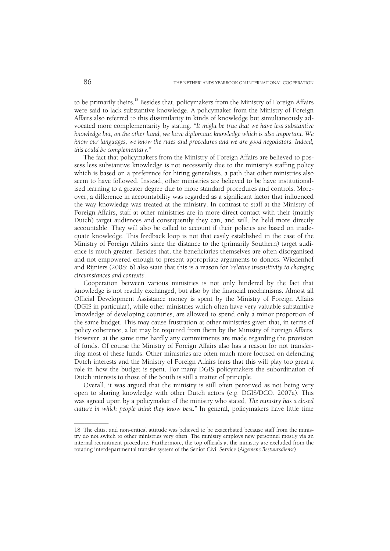to be primarily theirs.<sup>18</sup> Besides that, policymakers from the Ministry of Foreign Affairs were said to lack substantive knowledge. A policymaker from the Ministry of Foreign Affairs also referred to this dissimilarity in kinds of knowledge but simultaneously advocated more complementarity by stating, *"It might be true that we have less substantive knowledge but, on the other hand, we have diplomatic knowledge which is also important. We know our languages, we know the rules and procedures and we are good negotiators. Indeed, this could be complementary."* 

 The fact that policymakers from the Ministry of Foreign Affairs are believed to possess less substantive knowledge is not necessarily due to the ministry's staffing policy which is based on a preference for hiring generalists, a path that other ministries also seem to have followed. Instead, other ministries are believed to be have institutionalised learning to a greater degree due to more standard procedures and controls. Moreover, a difference in accountability was regarded as a significant factor that influenced the way knowledge was treated at the ministry. In contrast to staff at the Ministry of Foreign Affairs, staff at other ministries are in more direct contact with their (mainly Dutch) target audiences and consequently they can, and will, be held more directly accountable. They will also be called to account if their policies are based on inadequate knowledge. This feedback loop is not that easily established in the case of the Ministry of Foreign Affairs since the distance to the (primarily Southern) target audience is much greater. Besides that, the beneficiaries themselves are often disorganised and not empowered enough to present appropriate arguments to donors. Wiedenhof and Rijniers (2008: 6) also state that this is a reason for '*relative insensitivity to changing circumstances and contexts'*.

 Cooperation between various ministries is not only hindered by the fact that knowledge is not readily exchanged, but also by the financial mechanisms. Almost all Official Development Assistance money is spent by the Ministry of Foreign Affairs (DGIS in particular), while other ministries which often have very valuable substantive knowledge of developing countries, are allowed to spend only a minor proportion of the same budget. This may cause frustration at other ministries given that, in terms of policy coherence, a lot may be required from them by the Ministry of Foreign Affairs. However, at the same time hardly any commitments are made regarding the provision of funds. Of course the Ministry of Foreign Affairs also has a reason for not transferring most of these funds. Other ministries are often much more focused on defending Dutch interests and the Ministry of Foreign Affairs fears that this will play too great a role in how the budget is spent. For many DGIS policymakers the subordination of Dutch interests to those of the South is still a matter of principle.

 Overall, it was argued that the ministry is still often perceived as not being very open to sharing knowledge with other Dutch actors (e.g. DGIS/DCO, 2007a). This was agreed upon by a policymaker of the ministry who stated, *The ministry has a closed culture in which people think they know best."* In general, policymakers have little time

<sup>18</sup> The elitist and non-critical attitude was believed to be exacerbated because staff from the ministry do not switch to other ministries very often. The ministry employs new personnel mostly via an internal recruitment procedure. Furthermore, the top officials at the ministry are excluded from the rotating interdepartmental transfer system of the Senior Civil Service (*Algemene Bestuursdienst*).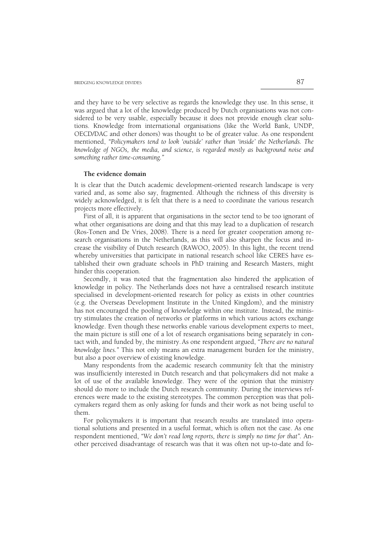and they have to be very selective as regards the knowledge they use. In this sense, it was argued that a lot of the knowledge produced by Dutch organisations was not considered to be very usable, especially because it does not provide enough clear solutions. Knowledge from international organisations (like the World Bank, UNDP, OECD/DAC and other donors) was thought to be of greater value. As one respondent mentioned, *"Policymakers tend to look 'outside' rather than 'inside' the Netherlands. The knowledge of NGOs, the media, and science, is regarded mostly as background noise and something rather time-consuming."* 

#### **The evidence domain**

It is clear that the Dutch academic development-oriented research landscape is very varied and, as some also say, fragmented. Although the richness of this diversity is widely acknowledged, it is felt that there is a need to coordinate the various research projects more effectively.

 First of all, it is apparent that organisations in the sector tend to be too ignorant of what other organisations are doing and that this may lead to a duplication of research (Ros-Tonen and De Vries, 2008). There is a need for greater cooperation among research organisations in the Netherlands, as this will also sharpen the focus and increase the visibility of Dutch research (RAWOO, 2005). In this light, the recent trend whereby universities that participate in national research school like CERES have established their own graduate schools in PhD training and Research Masters, might hinder this cooperation.

 Secondly, it was noted that the fragmentation also hindered the application of knowledge in policy. The Netherlands does not have a centralised research institute specialised in development-oriented research for policy as exists in other countries (e.g. the Overseas Development Institute in the United Kingdom), and the ministry has not encouraged the pooling of knowledge within one institute. Instead, the ministry stimulates the creation of networks or platforms in which various actors exchange knowledge. Even though these networks enable various development experts to meet, the main picture is still one of a lot of research organisations being separately in contact with, and funded by, the ministry.As one respondent argued, *"There are no natural knowledge lines."* This not only means an extra management burden for the ministry, but also a poor overview of existing knowledge.

 Many respondents from the academic research community felt that the ministry was insufficiently interested in Dutch research and that policymakers did not make a lot of use of the available knowledge. They were of the opinion that the ministry should do more to include the Dutch research community. During the interviews references were made to the existing stereotypes. The common perception was that policymakers regard them as only asking for funds and their work as not being useful to them.

 For policymakers it is important that research results are translated into operational solutions and presented in a useful format, which is often not the case. As one respondent mentioned, *"We don't read long reports, there is simply no time for that".* Another perceived disadvantage of research was that it was often not up-to-date and fo-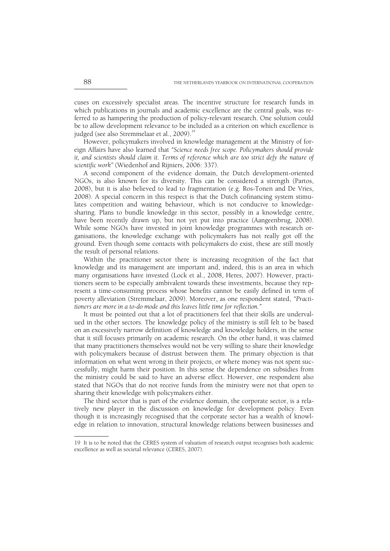cuses on excessively specialist areas. The incentive structure for research funds in which publications in journals and academic excellence are the central goals, was referred to as hampering the production of policy-relevant research. One solution could be to allow development relevance to be included as a criterion on which excellence is judged (see also Stremmelaar et al., 2009).<sup>19</sup>

 However, policymakers involved in knowledge management at the Ministry of foreign Affairs have also learned that *"Science needs free scope. Policymakers should provide it, and scientists should claim it. Terms of reference which are too strict defy the nature of scientific work"* (Wiedenhof and Rijniers, 2006: 337).

 A second component of the evidence domain, the Dutch development-oriented NGOs, is also known for its diversity. This can be considered a strength (Partos, 2008), but it is also believed to lead to fragmentation (e.g. Ros-Tonen and De Vries, 2008). A special concern in this respect is that the Dutch cofinancing system stimulates competition and waiting behaviour, which is not conducive to knowledgesharing. Plans to bundle knowledge in this sector, possibly in a knowledge centre, have been recently drawn up, but not yet put into practice (Aangeenbrug, 2008). While some NGOs have invested in joint knowledge programmes with research organisations, the knowledge exchange with policymakers has not really got off the ground. Even though some contacts with policymakers do exist, these are still mostly the result of personal relations.

 Within the practitioner sector there is increasing recognition of the fact that knowledge and its management are important and, indeed, this is an area in which many organisations have invested (Lock et al., 2008, Heres, 2007). However, practitioners seem to be especially ambivalent towards these investments, because they represent a time-consuming process whose benefits cannot be easily defined in term of poverty alleviation (Stremmelaar, 2009). Moreover, as one respondent stated, *"Practitioners are more in a to-do mode and this leaves little time for reflection."*

 It must be pointed out that a lot of practitioners feel that their skills are undervalued in the other sectors. The knowledge policy of the ministry is still felt to be based on an excessively narrow definition of knowledge and knowledge holders, in the sense that it still focuses primarily on academic research. On the other hand, it was claimed that many practitioners themselves would not be very willing to share their knowledge with policymakers because of distrust between them. The primary objection is that information on what went wrong in their projects, or where money was not spent successfully, might harm their position. In this sense the dependence on subsidies from the ministry could be said to have an adverse effect. However, one respondent also stated that NGOs that do not receive funds from the ministry were not that open to sharing their knowledge with policymakers either.

 The third sector that is part of the evidence domain, the corporate sector, is a relatively new player in the discussion on knowledge for development policy. Even though it is increasingly recognised that the corporate sector has a wealth of knowledge in relation to innovation, structural knowledge relations between businesses and

<sup>19</sup> It is to be noted that the CERES system of valuation of research output recognises both academic excellence as well as societal relevance (CERES, 2007).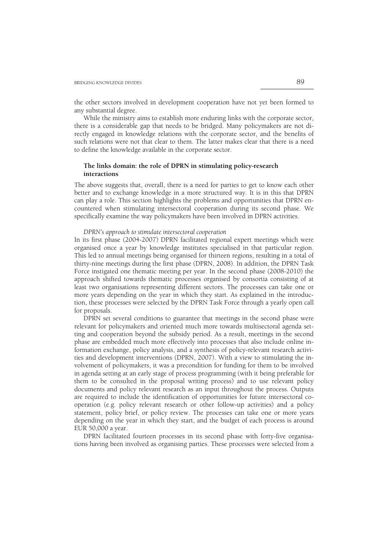the other sectors involved in development cooperation have not yet been formed to any substantial degree.

 While the ministry aims to establish more enduring links with the corporate sector, there is a considerable gap that needs to be bridged. Many policymakers are not directly engaged in knowledge relations with the corporate sector, and the benefits of such relations were not that clear to them. The latter makes clear that there is a need to define the knowledge available in the corporate sector.

# **The links domain: the role of DPRN in stimulating policy-research interactions**

The above suggests that, overall, there is a need for parties to get to know each other better and to exchange knowledge in a more structured way. It is in this that DPRN can play a role. This section highlights the problems and opportunities that DPRN encountered when stimulating intersectoral cooperation during its second phase. We specifically examine the way policymakers have been involved in DPRN activities.

 *DPRN's approach to stimulate intersectoral cooperation* 

In its first phase (2004-2007) DPRN facilitated regional expert meetings which were organised once a year by knowledge institutes specialised in that particular region. This led to annual meetings being organised for thirteen regions, resulting in a total of thirty-nine meetings during the first phase (DPRN, 2008). In addition, the DPRN Task Force instigated one thematic meeting per year. In the second phase (2008-2010) the approach shifted towards thematic processes organised by consortia consisting of at least two organisations representing different sectors. The processes can take one or more years depending on the year in which they start. As explained in the introduction, these processes were selected by the DPRN Task Force through a yearly open call for proposals.

 DPRN set several conditions to guarantee that meetings in the second phase were relevant for policymakers and oriented much more towards multisectoral agenda setting and cooperation beyond the subsidy period. As a result, meetings in the second phase are embedded much more effectively into processes that also include online information exchange, policy analysis, and a synthesis of policy-relevant research activities and development interventions (DPRN, 2007). With a view to stimulating the involvement of policymakers, it was a precondition for funding for them to be involved in agenda setting at an early stage of process programming (with it being preferable for them to be consulted in the proposal writing process) and to use relevant policy documents and policy relevant research as an input throughout the process. Outputs are required to include the identification of opportunities for future intersectoral cooperation (e.g. policy relevant research or other follow-up activities) and a policy statement, policy brief, or policy review. The processes can take one or more years depending on the year in which they start, and the budget of each process is around EUR 50,000 a year.

 DPRN facilitated fourteen processes in its second phase with forty-five organisations having been involved as organising parties. These processes were selected from a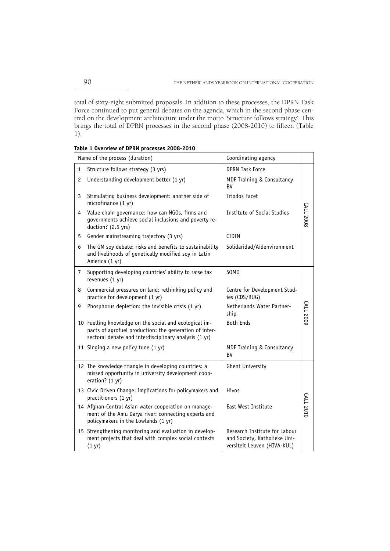total of sixty-eight submitted proposals. In addition to these processes, the DPRN Task Force continued to put general debates on the agenda, which in the second phase centred on the development architecture under the motto 'Structure follows strategy'. This brings the total of DPRN processes in the second phase (2008-2010) to fifteen (Table 1).

| Name of the process (duration) |                                                                                                                                                                           | Coordinating agency                                                                          |                  |
|--------------------------------|---------------------------------------------------------------------------------------------------------------------------------------------------------------------------|----------------------------------------------------------------------------------------------|------------------|
| 1                              | Structure follows strategy (3 yrs)                                                                                                                                        | <b>DPRN Task Force</b>                                                                       |                  |
| 2                              | Understanding development better (1 yr)                                                                                                                                   | MDF Training & Consultancy<br><b>BV</b>                                                      |                  |
| 3                              | Stimulating business development: another side of<br>microfinance (1 yr)                                                                                                  | <b>Triodos Facet</b>                                                                         |                  |
| 4                              | Value chain governance: how can NGOs, firms and<br>governments achieve social inclusions and poverty re-<br>duction? (2.5 yrs)                                            | Institute of Social Studies                                                                  | <b>CALL 2008</b> |
| 5                              | Gender mainstreaming trajectory (3 yrs)                                                                                                                                   | CIDIN                                                                                        |                  |
| 6                              | The GM soy debate: risks and benefits to sustainability<br>and livelihoods of genetically modified soy in Latin<br>America (1 yr)                                         | Solidaridad/Aidenvironment                                                                   |                  |
| $\overline{7}$                 | Supporting developing countries' ability to raise tax<br>revenues (1 yr)                                                                                                  | SOM <sub>0</sub>                                                                             |                  |
| 8                              | Commercial pressures on land: rethinking policy and<br>practice for development (1 yr)                                                                                    | Centre for Development Stud-<br>ies (CDS/RUG)                                                |                  |
| 9                              | Phosphorus depletion: the invisible crisis (1 yr)                                                                                                                         | Netherlands Water Partner-<br>ship                                                           | CALL 2009        |
|                                | 10 Fuelling knowledge on the social and ecological im-<br>pacts of agrofuel production: the generation of inter-<br>sectoral debate and interdisciplinary analysis (1 yr) | <b>Both Ends</b>                                                                             |                  |
|                                | 11 Singing a new policy tune (1 yr)                                                                                                                                       | MDF Training & Consultancy<br><b>BV</b>                                                      |                  |
|                                | 12 The knowledge triangle in developing countries: a<br>missed opportunity in university development coop-<br>eration? (1 yr)                                             | <b>Ghent University</b>                                                                      |                  |
|                                | 13 Civic Driven Change: implications for policymakers and<br>practitioners (1 yr)                                                                                         | Hivos                                                                                        |                  |
|                                | 14 Afghan-Central Asian water cooperation on manage-<br>ment of the Amu Darya river: connecting experts and<br>policymakers in the Lowlands (1 yr)                        | East West Institute                                                                          | CALL 2010        |
|                                | 15 Strengthening monitoring and evaluation in develop-<br>ment projects that deal with complex social contexts<br>(1 <i>yr</i> )                                          | Research Institute for Labour<br>and Society, Katholieke Uni-<br>versiteit Leuven (HIVA-KUL) |                  |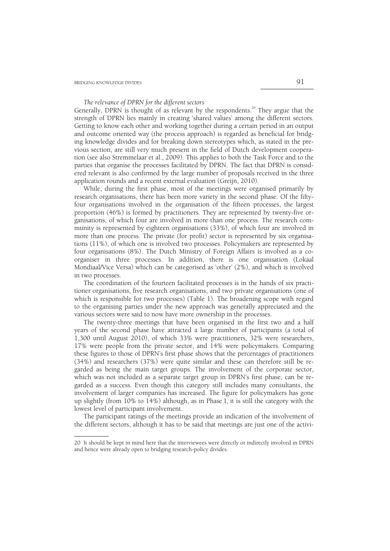––––––––––

# *The relevance of DPRN for the different sectors*

Generally, DPRN is thought of as relevant by the respondents.<sup>20</sup> They argue that the strength of DPRN lies mainly in creating 'shared values' among the different sectors. Getting to know each other and working together during a certain period in an output and outcome oriented way (the process approach) is regarded as beneficial for bridging knowledge divides and for breaking down stereotypes which, as stated in the previous section, are still very much present in the field of Dutch development cooperation (see also Stremmelaar et al., 2009). This applies to both the Task Force and to the parties that organise the processes facilitated by DPRN. The fact that DPRN is considered relevant is also confirmed by the large number of proposals received in the three application rounds and a recent external evaluation (Greijn, 2010).

 While, during the first phase, most of the meetings were organised primarily by research organisations, there has been more variety in the second phase. Of the fiftyfour organisations involved in the organisation of the fifteen processes, the largest proportion (46%) is formed by practitioners. They are represented by twenty-five organisations, of which four are involved in more than one process. The research community is represented by eighteen organisations (33%), of which four are involved in more than one process. The private (for profit) sector is represented by six organisations (11%), of which one is involved two processes. Policymakers are represented by four organisations (8%). The Dutch Ministry of Foreign Affairs is involved as a coorganiser in three processes. In addition, there is one organisation (Lokaal Mondiaal/Vice Versa) which can be categorised as 'other' (2%), and which is involved in two processes.

 The coordination of the fourteen facilitated processes is in the hands of six practitioner organisations, five research organisations, and two private organisations (one of which is responsible for two processes) (Table 1). The broadening scope with regard to the organising parties under the new approach was generally appreciated and the various sectors were said to now have more ownership in the processes.

 The twenty-three meetings that have been organised in the first two and a half years of the second phase have attracted a large number of participants (a total of 1,300 until August 2010), of which 33% were practitioners, 32% were researchers, 17% were people from the private sector, and 14% were policymakers. Comparing these figures to those of DPRN's first phase shows that the percentages of practitioners (34%) and researchers (37%) were quite similar and these can therefore still be regarded as being the main target groups. The involvement of the corporate sector, which was not included as a separate target group in DPRN's first phase, can be regarded as a success. Even though this category still includes many consultants, the involvement of larger companies has increased. The figure for policymakers has gone up slightly (from 10% to 14%) although, as in Phase I, it is still the category with the lowest level of participant involvement.

 The participant ratings of the meetings provide an indication of the involvement of the different sectors, although it has to be said that meetings are just one of the activi-

<sup>20</sup> It should be kept in mind here that the interviewees were directly or indirectly involved in DPRN and hence were already open to bridging research-policy divides.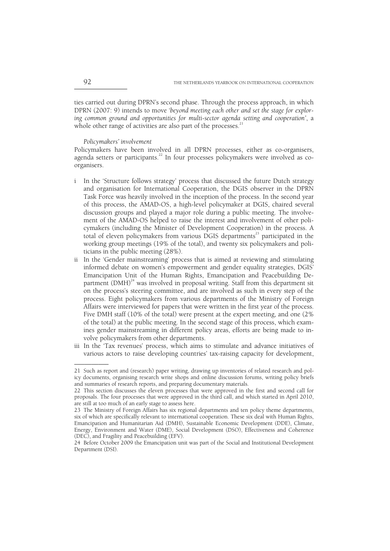ties carried out during DPRN's second phase. Through the process approach, in which DPRN (2007: 9) intends to move '*beyond meeting each other and set the stage for exploring common ground and opportunities for multi-sector agenda setting and cooperation'*, a whole other range of activities are also part of the processes.<sup>2</sup>

# *Policymakers' involvement*

Policymakers have been involved in all DPRN processes, either as co-organisers, agenda setters or participants.<sup>22</sup> In four processes policymakers were involved as coorganisers.

- i In the 'Structure follows strategy' process that discussed the future Dutch strategy and organisation for International Cooperation, the DGIS observer in the DPRN Task Force was heavily involved in the inception of the process. In the second year of this process, the AMAD-OS, a high-level policymaker at DGIS, chaired several discussion groups and played a major role during a public meeting. The involvement of the AMAD-OS helped to raise the interest and involvement of other policymakers (including the Minister of Development Cooperation) in the process. A total of eleven policymakers from various DGIS departments<sup>23</sup> participated in the working group meetings (19% of the total), and twenty six policymakers and politicians in the public meeting (28%).
- ii In the 'Gender mainstreaming' process that is aimed at reviewing and stimulating informed debate on women's empowerment and gender equality strategies, DGIS' Emancipation Unit of the Human Rights, Emancipation and Peacebuilding Department  $(DMH)^{24}$  was involved in proposal writing. Staff from this department sit on the process's steering committee, and are involved as such in every step of the process. Eight policymakers from various departments of the Ministry of Foreign Affairs were interviewed for papers that were written in the first year of the process. Five DMH staff (10% of the total) were present at the expert meeting, and one (2% of the total) at the public meeting. In the second stage of this process, which examines gender mainstreaming in different policy areas, efforts are being made to involve policymakers from other departments.
- iii In the 'Tax revenues' process, which aims to stimulate and advance initiatives of various actors to raise developing countries' tax-raising capacity for development,

<sup>21</sup> Such as report and (research) paper writing, drawing up inventories of related research and policy documents, organising research write shops and online discussion forums, writing policy briefs and summaries of research reports, and preparing documentary materials.

<sup>22</sup> This section discusses the eleven processes that were approved in the first and second call for proposals. The four processes that were approved in the third call, and which started in April 2010, are still at too much of an early stage to assess here.

<sup>23</sup> The Ministry of Foreign Affairs has six regional departments and ten policy theme departments, six of which are specifically relevant to international cooperation. These six deal with Human Rights, Emancipation and Humanitarian Aid (DMH), Sustainable Economic Development (DDE), Climate, Energy, Environment and Water (DME), Social Development (DSO), Effectiveness and Coherence (DEC), and Fragility and Peacebuilding (EFV).

<sup>24</sup> Before October 2009 the Emancipation unit was part of the Social and Institutional Development Department (DSI).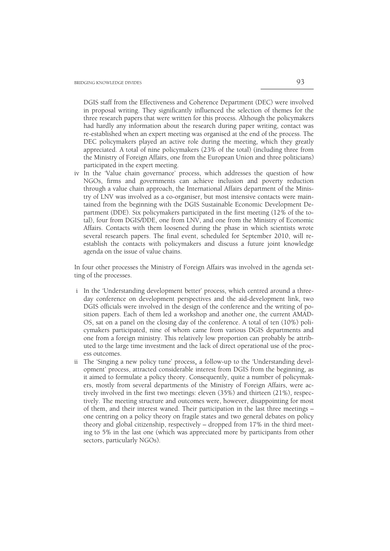DGIS staff from the Effectiveness and Coherence Department (DEC) were involved in proposal writing. They significantly influenced the selection of themes for the three research papers that were written for this process. Although the policymakers had hardly any information about the research during paper writing, contact was re-established when an expert meeting was organised at the end of the process. The DEC policymakers played an active role during the meeting, which they greatly appreciated. A total of nine policymakers (23% of the total) (including three from the Ministry of Foreign Affairs, one from the European Union and three politicians) participated in the expert meeting.

iv In the 'Value chain governance' process, which addresses the question of how NGOs, firms and governments can achieve inclusion and poverty reduction through a value chain approach, the International Affairs department of the Ministry of LNV was involved as a co-organiser, but most intensive contacts were maintained from the beginning with the DGIS Sustainable Economic Development Department (DDE). Six policymakers participated in the first meeting (12% of the total), four from DGIS/DDE, one from LNV, and one from the Ministry of Economic Affairs. Contacts with them loosened during the phase in which scientists wrote several research papers. The final event, scheduled for September 2010, will reestablish the contacts with policymakers and discuss a future joint knowledge agenda on the issue of value chains.

In four other processes the Ministry of Foreign Affairs was involved in the agenda setting of the processes.

- i In the 'Understanding development better' process, which centred around a threeday conference on development perspectives and the aid-development link, two DGIS officials were involved in the design of the conference and the writing of position papers. Each of them led a workshop and another one, the current AMAD-OS, sat on a panel on the closing day of the conference. A total of ten (10%) policymakers participated, nine of whom came from various DGIS departments and one from a foreign ministry. This relatively low proportion can probably be attributed to the large time investment and the lack of direct operational use of the process outcomes.
- ii The 'Singing a new policy tune' process, a follow-up to the 'Understanding development' process, attracted considerable interest from DGIS from the beginning, as it aimed to formulate a policy theory. Consequently, quite a number of policymakers, mostly from several departments of the Ministry of Foreign Affairs, were actively involved in the first two meetings: eleven (35%) and thirteen (21%), respectively. The meeting structure and outcomes were, however, disappointing for most of them, and their interest waned. Their participation in the last three meetings – one centring on a policy theory on fragile states and two general debates on policy theory and global citizenship, respectively – dropped from 17% in the third meeting to 5% in the last one (which was appreciated more by participants from other sectors, particularly NGOs).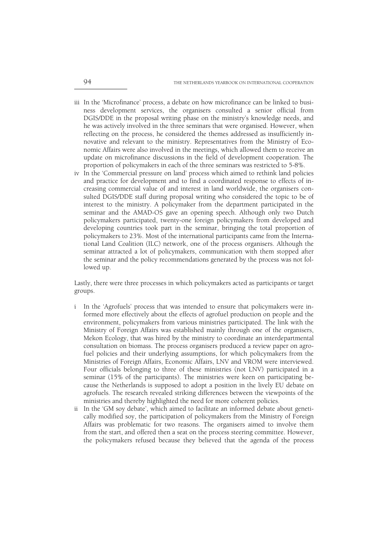- iii In the 'Microfinance' process, a debate on how microfinance can be linked to business development services, the organisers consulted a senior official from DGIS/DDE in the proposal writing phase on the ministry's knowledge needs, and he was actively involved in the three seminars that were organised. However, when reflecting on the process, he considered the themes addressed as insufficiently innovative and relevant to the ministry. Representatives from the Ministry of Economic Affairs were also involved in the meetings, which allowed them to receive an update on microfinance discussions in the field of development cooperation. The proportion of policymakers in each of the three seminars was restricted to 5-8%.
- iv In the 'Commercial pressure on land' process which aimed to rethink land policies and practice for development and to find a coordinated response to effects of increasing commercial value of and interest in land worldwide, the organisers consulted DGIS/DDE staff during proposal writing who considered the topic to be of interest to the ministry. A policymaker from the department participated in the seminar and the AMAD-OS gave an opening speech. Although only two Dutch policymakers participated, twenty-one foreign policymakers from developed and developing countries took part in the seminar, bringing the total proportion of policymakers to 23%. Most of the international participants came from the International Land Coalition (ILC) network, one of the process organisers. Although the seminar attracted a lot of policymakers, communication with them stopped after the seminar and the policy recommendations generated by the process was not followed up.

Lastly, there were three processes in which policymakers acted as participants or target groups.

- i In the 'Agrofuels' process that was intended to ensure that policymakers were informed more effectively about the effects of agrofuel production on people and the environment, policymakers from various ministries participated. The link with the Ministry of Foreign Affairs was established mainly through one of the organisers, Mekon Ecology, that was hired by the ministry to coordinate an interdepartmental consultation on biomass. The process organisers produced a review paper on agrofuel policies and their underlying assumptions, for which policymakers from the Ministries of Foreign Affairs, Economic Affairs, LNV and VROM were interviewed. Four officials belonging to three of these ministries (not LNV) participated in a seminar (15% of the participants). The ministries were keen on participating because the Netherlands is supposed to adopt a position in the lively EU debate on agrofuels. The research revealed striking differences between the viewpoints of the ministries and thereby highlighted the need for more coherent policies.
- ii In the 'GM soy debate', which aimed to facilitate an informed debate about genetically modified soy, the participation of policymakers from the Ministry of Foreign Affairs was problematic for two reasons. The organisers aimed to involve them from the start, and offered then a seat on the process steering committee. However, the policymakers refused because they believed that the agenda of the process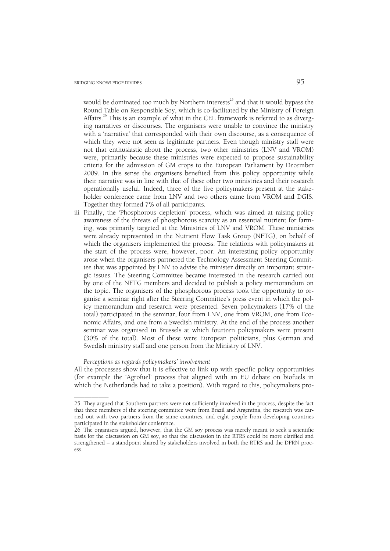would be dominated too much by Northern interests $^{25}$  and that it would bypass the Round Table on Responsible Soy, which is co-facilitated by the Ministry of Foreign Affairs.<sup>26</sup> This is an example of what in the CEL framework is referred to as diverging narratives or discourses. The organisers were unable to convince the ministry with a 'narrative' that corresponded with their own discourse, as a consequence of which they were not seen as legitimate partners. Even though ministry staff were not that enthusiastic about the process, two other ministries (LNV and VROM) were, primarily because these ministries were expected to propose sustainability criteria for the admission of GM crops to the European Parliament by December 2009. In this sense the organisers benefited from this policy opportunity while their narrative was in line with that of these other two ministries and their research operationally useful. Indeed, three of the five policymakers present at the stakeholder conference came from LNV and two others came from VROM and DGIS. Together they formed 7% of all participants.

iii Finally, the 'Phosphorous depletion' process, which was aimed at raising policy awareness of the threats of phosphorous scarcity as an essential nutrient for farming, was primarily targeted at the Ministries of LNV and VROM. These ministries were already represented in the Nutrient Flow Task Group (NFTG), on behalf of which the organisers implemented the process. The relations with policymakers at the start of the process were, however, poor. An interesting policy opportunity arose when the organisers partnered the Technology Assessment Steering Committee that was appointed by LNV to advise the minister directly on important strategic issues. The Steering Committee became interested in the research carried out by one of the NFTG members and decided to publish a policy memorandum on the topic. The organisers of the phosphorous process took the opportunity to organise a seminar right after the Steering Committee's press event in which the policy memorandum and research were presented. Seven policymakers (17% of the total) participated in the seminar, four from LNV, one from VROM, one from Economic Affairs, and one from a Swedish ministry. At the end of the process another seminar was organised in Brussels at which fourteen policymakers were present (30% of the total). Most of these were European politicians, plus German and Swedish ministry staff and one person from the Ministry of LNV.

 *Perceptions as regards policymakers' involvement* 

All the processes show that it is effective to link up with specific policy opportunities (for example the 'Agrofuel' process that aligned with an EU debate on biofuels in which the Netherlands had to take a position). With regard to this, policymakers pro-

<sup>––––––––––</sup>  25 They argued that Southern partners were not sufficiently involved in the process, despite the fact that three members of the steering committee were from Brazil and Argentina, the research was carried out with two partners from the same countries, and eight people from developing countries participated in the stakeholder conference.

<sup>26</sup> The organisers argued, however, that the GM soy process was merely meant to seek a scientific basis for the discussion on GM soy, so that the discussion in the RTRS could be more clarified and strengthened – a standpoint shared by stakeholders involved in both the RTRS and the DPRN process.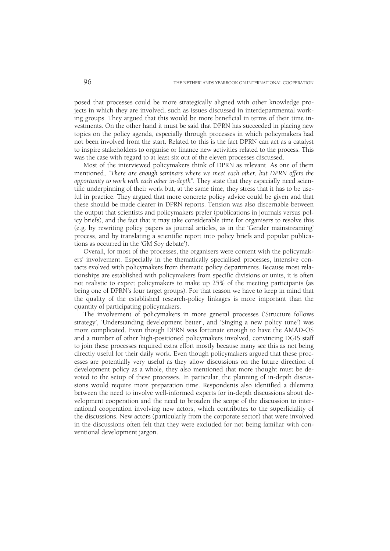posed that processes could be more strategically aligned with other knowledge projects in which they are involved, such as issues discussed in interdepartmental working groups. They argued that this would be more beneficial in terms of their time investments. On the other hand it must be said that DPRN has succeeded in placing new topics on the policy agenda, especially through processes in which policymakers had not been involved from the start. Related to this is the fact DPRN can act as a catalyst to inspire stakeholders to organise or finance new activities related to the process. This was the case with regard to at least six out of the eleven processes discussed.

 Most of the interviewed policymakers think of DPRN as relevant. As one of them mentioned, *"There are enough seminars where we meet each other, but DPRN offers the opportunity to work with each other in-depth".* They state that they especially need scientific underpinning of their work but, at the same time, they stress that it has to be useful in practice. They argued that more concrete policy advice could be given and that these should be made clearer in DPRN reports. Tension was also discernable between the output that scientists and policymakers prefer (publications in journals versus policy briefs), and the fact that it may take considerable time for organisers to resolve this (e.g. by rewriting policy papers as journal articles, as in the 'Gender mainstreaming' process, and by translating a scientific report into policy briefs and popular publications as occurred in the 'GM Soy debate').

 Overall, for most of the processes, the organisers were content with the policymakers' involvement. Especially in the thematically specialised processes, intensive contacts evolved with policymakers from thematic policy departments. Because most relationships are established with policymakers from specific divisions or units, it is often not realistic to expect policymakers to make up 25% of the meeting participants (as being one of DPRN's four target groups). For that reason we have to keep in mind that the quality of the established research-policy linkages is more important than the quantity of participating policymakers.

 The involvement of policymakers in more general processes ('Structure follows strategy', 'Understanding development better', and 'Singing a new policy tune') was more complicated. Even though DPRN was fortunate enough to have the AMAD-OS and a number of other high-positioned policymakers involved, convincing DGIS staff to join these processes required extra effort mostly because many see this as not being directly useful for their daily work. Even though policymakers argued that these processes are potentially very useful as they allow discussions on the future direction of development policy as a whole, they also mentioned that more thought must be devoted to the setup of these processes. In particular, the planning of in-depth discussions would require more preparation time. Respondents also identified a dilemma between the need to involve well-informed experts for in-depth discussions about development cooperation and the need to broaden the scope of the discussion to international cooperation involving new actors, which contributes to the superficiality of the discussions. New actors (particularly from the corporate sector) that were involved in the discussions often felt that they were excluded for not being familiar with conventional development jargon.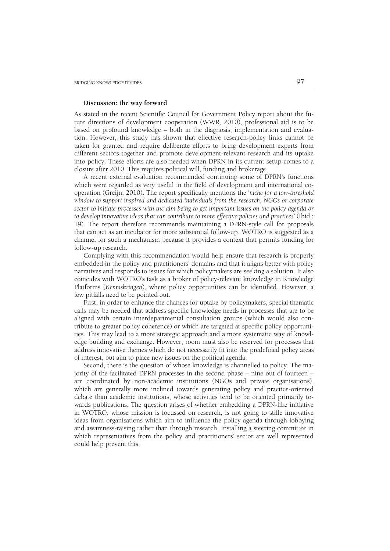## **Discussion: the way forward**

As stated in the recent Scientific Council for Government Policy report about the future directions of development cooperation (WWR, 2010), professional aid is to be based on profound knowledge – both in the diagnosis, implementation and evaluation. However, this study has shown that effective research-policy links cannot be taken for granted and require deliberate efforts to bring development experts from different sectors together and promote development-relevant research and its uptake into policy. These efforts are also needed when DPRN in its current setup comes to a closure after 2010. This requires political will, funding and brokerage.

 A recent external evaluation recommended continuing some of DPRN's functions which were regarded as very useful in the field of development and international cooperation (Greijn, 2010). The report specifically mentions the '*niche for a low-threshold window to support inspired and dedicated individuals from the research, NGOs or corporate sector to initiate processes with the aim being to get important issues on the policy agenda or to develop innovative ideas that can contribute to more effective policies and practices'* (Ibid.: 19). The report therefore recommends maintaining a DPRN-style call for proposals that can act as an incubator for more substantial follow-up. WOTRO is suggested as a channel for such a mechanism because it provides a context that permits funding for follow-up research.

 Complying with this recommendation would help ensure that research is properly embedded in the policy and practitioners' domains and that it aligns better with policy narratives and responds to issues for which policymakers are seeking a solution. It also coincides with WOTRO's task as a broker of policy-relevant knowledge in Knowledge Platforms (*Kenniskringen*), where policy opportunities can be identified. However, a few pitfalls need to be pointed out.

 First, in order to enhance the chances for uptake by policymakers, special thematic calls may be needed that address specific knowledge needs in processes that are to be aligned with certain interdepartmental consultation groups (which would also contribute to greater policy coherence) or which are targeted at specific policy opportunities. This may lead to a more strategic approach and a more systematic way of knowledge building and exchange. However, room must also be reserved for processes that address innovative themes which do not necessarily fit into the predefined policy areas of interest, but aim to place new issues on the political agenda.

 Second, there is the question of whose knowledge is channelled to policy. The majority of the facilitated DPRN processes in the second phase – nine out of fourteen – are coordinated by non-academic institutions (NGOs and private organisations), which are generally more inclined towards generating policy and practice-oriented debate than academic institutions, whose activities tend to be oriented primarily towards publications. The question arises of whether embedding a DPRN-like initiative in WOTRO, whose mission is focussed on research, is not going to stifle innovative ideas from organisations which aim to influence the policy agenda through lobbying and awareness-raising rather than through research. Installing a steering committee in which representatives from the policy and practitioners' sector are well represented could help prevent this.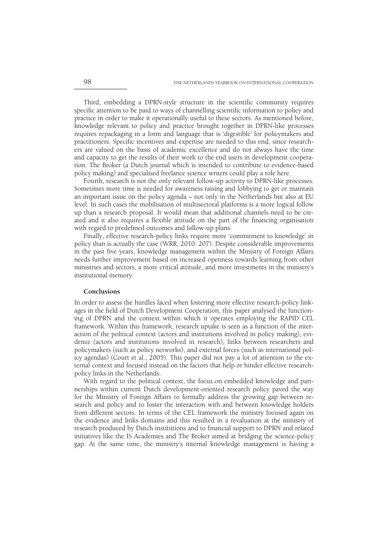Third, embedding a DPRN-style structure in the scientific community requires specific attention to be paid to ways of channelling scientific information to policy and practice in order to make it operationally useful to these sectors. As mentioned before, knowledge relevant to policy and practice brought together in DPRN-like processes requires repackaging in a form and language that is 'digestible' for policymakers and practitioners. Specific incentives and expertise are needed to this end, since researchers are valued on the basis of academic excellence and do not always have the time and capacity to get the results of their work to the end users in development cooperation. The Broker (a Dutch journal which is intended to contribute to evidence-based policy making) and specialised freelance science writers could play a role here.

 Fourth, research is not the only relevant follow-up activity to DPRN-like processes. Sometimes more time is needed for awareness raising and lobbying to get or maintain an important issue on the policy agenda – not only in the Netherlands but also at EU level. In such cases the mobilisation of multisectoral platforms is a more logical follow up than a research proposal. It would mean that additional channels need to be created and it also requires a flexible attitude on the part of the financing organisation with regard to predefined outcomes and follow-up plans.

 Finally, effective research-policy links require more 'commitment to knowledge' in policy than is actually the case (WRR, 2010: 207). Despite considerable improvements in the past five years, knowledge management within the Ministry of Foreign Affairs needs further improvement based on increased openness towards learning from other ministries and sectors, a more critical attitude, and more investments in the ministry's institutional memory.

#### **Conclusions**

In order to assess the hurdles faced when fostering more effective research-policy linkages in the field of Dutch Development Cooperation, this paper analysed the functioning of DPRN and the context within which it operates employing the RAPID CEL framework. Within this framework, research uptake is seen as a function of the interaction of the political context (actors and institutions involved in policy making), evidence (actors and institutions involved in research), links between researchers and policymakers (such as policy networks), and external forces (such as international policy agendas) (Court et al., 2005). This paper did not pay a lot of attention to the external context and focused instead on the factors that help or hinder effective researchpolicy links in the Netherlands.

 With regard to the political context, the focus on embedded knowledge and partnerships within current Dutch development-oriented research policy paved the way for the Ministry of Foreign Affairs to formally address the growing gap between research and policy and to foster the interaction with and between knowledge holders from different sectors. In terms of the CEL framework the ministry focused again on the evidence and links domains and this resulted in a revaluation at the ministry of research produced by Dutch institutions and to financial support to DPRN and related initiatives like the IS Academies and The Broker aimed at bridging the science-policy gap. At the same time, the ministry's internal knowledge management is having a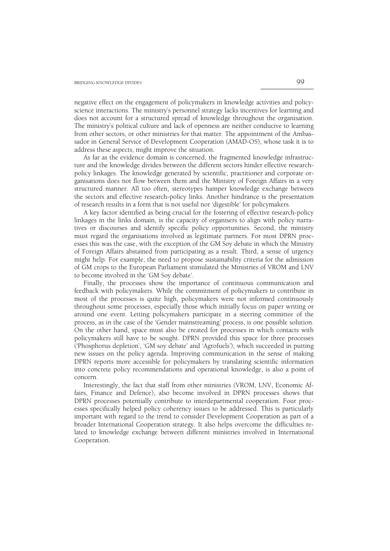negative effect on the engagement of policymakers in knowledge activities and policyscience interactions. The ministry's personnel strategy lacks incentives for learning and does not account for a structured spread of knowledge throughout the organisation. The ministry's political culture and lack of openness are neither conducive to learning from other sectors, or other ministries for that matter. The appointment of the Ambassador in General Service of Development Cooperation (AMAD-OS), whose task it is to address these aspects, might improve the situation.

 As far as the evidence domain is concerned, the fragmented knowledge infrastructure and the knowledge divides between the different sectors hinder effective researchpolicy linkages. The knowledge generated by scientific, practitioner and corporate organisations does not flow between them and the Ministry of Foreign Affairs in a very structured manner. All too often, stereotypes hamper knowledge exchange between the sectors and effective research-policy links. Another hindrance is the presentation of research results in a form that is not useful nor 'digestible' for policymakers.

 A key factor identified as being crucial for the fostering of effective research-policy linkages in the links domain, is the capacity of organisers to align with policy narratives or discourses and identify specific policy opportunities. Second, the ministry must regard the organisations involved as legitimate partners. For most DPRN processes this was the case, with the exception of the GM Soy debate in which the Ministry of Foreign Affairs abstained from participating as a result. Third, a sense of urgency might help. For example, the need to propose sustainability criteria for the admission of GM crops to the European Parliament stimulated the Ministries of VROM and LNV to become involved in the 'GM Soy debate'.

 Finally, the processes show the importance of continuous communication and feedback with policymakers. While the commitment of policymakers to contribute in most of the processes is quite high, policymakers were not informed continuously throughout some processes, especially those which initially focus on paper writing or around one event. Letting policymakers participate in a steering committee of the process, as in the case of the 'Gender mainstreaming' process, is one possible solution. On the other hand, space must also be created for processes in which contacts with policymakers still have to be sought. DPRN provided this space for three processes ('Phosphorus depletion', 'GM soy debate' and 'Agrofuels'), which succeeded in putting new issues on the policy agenda. Improving communication in the sense of making DPRN reports more accessible for policymakers by translating scientific information into concrete policy recommendations and operational knowledge, is also a point of concern.

 Interestingly, the fact that staff from other ministries (VROM, LNV, Economic Affairs, Finance and Defence), also become involved in DPRN processes shows that DPRN processes potentially contribute to interdepartmental cooperation. Four processes specifically helped policy coherency issues to be addressed. This is particularly important with regard to the trend to consider Development Cooperation as part of a broader International Cooperation strategy. It also helps overcome the difficulties related to knowledge exchange between different ministries involved in International Cooperation.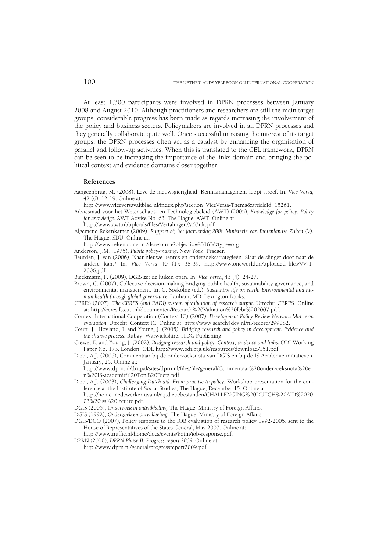At least 1,300 participants were involved in DPRN processes between January 2008 and August 2010. Although practitioners and researchers are still the main target groups, considerable progress has been made as regards increasing the involvement of the policy and business sectors. Policymakers are involved in all DPRN processes and they generally collaborate quite well. Once successful in raising the interest of its target groups, the DPRN processes often act as a catalyst by enhancing the organisation of parallel and follow-up activities. When this is translated to the CEL framework, DPRN can be seen to be increasing the importance of the links domain and bringing the political context and evidence domains closer together.

# **References**

- Aangeenbrug, M. (2008), Leve de nieuwsgierigheid. Kennismanagement loopt stroef. In: *Vice Versa,*  42 (6): 12-19. Online at:
	- http://www.viceversavakblad.nl/index.php?section=ViceVersa-Thema&articleId=15261.
- Adviesraad voor het Wetenschaps- en Technologiebeleid (AWT) (2005), *Knowledge for policy. Policy for knowledge.* AWT Advise No. 63. The Hague: AWT. Online at:
	- http://www.awt.nl/uploads/files/Vertalingen//a63uk.pdf.
- Algemene Rekenkamer (2009), *Rapport bij het jaarverslag 2008 Ministerie van Buitenlandse Zaken (V).* The Hague: SDU. Online at:

http://www.rekenkamer.nl/dsresource?objectid=83163&type=org.

- Anderson, J.M. (1975), *Public policy-making*. New York: Praeger.
- Beurden, J. van (2006), Naar nieuwe kennis en onderzoeksstrategieën. Slaat de slinger door naar de andere kant? In: *Vice Versa* 40 (1): 38-39. http://www.oneworld.nl/uploaded\_files/VV-1- 2006.pdf.
- Bieckmann, F. (2009), DGIS zet de luiken open. In: *Vice Versa*, 43 (4): 24-27.
- Brown, C. (2007), Collective decision-making bridging public health, sustainability governance, and environmental management. In: C. Soskolne (ed.), *Sustaining life on earth. Environmental and human health through global governance.* Lanham, MD: Lexington Books.
- CERES (2007), *The CERES (and EADI) system of valuation of research output.* Utrecht: CERES. Online at: http://ceres.fss.uu.nl/documenten/Research%20Valuation%20febr%202007.pdf.
- Context International Cooperation (Context IC) (2007), *Development Policy Review Network Mid-term evaluation.* Utrecht: Context IC. Online at: http://www.search4dev.nl/nl/record/299082.
- Court, J., Hovland, I. and Young, J. (2005), *Bridging research and policy in development. Evidence and the change process*. Rubgy, Warwickshire: ITDG Publishing.
- Crewe, E. and Young, J. (2002), *Bridging research and policy. Context, evidence and links.* ODI Working Paper No. 173. London: ODI. http://www.odi.org.uk/resources/download/151.pdf.
- Dietz, A.J. (2006), Commentaar bij de onderzoeksnota van DGIS en bij de IS Academie initiatieven. January, 25. Online at:

 http://www.dprn.nl/drupal/sites/dprn.nl/files/file/general/Commentaar%20onderzoeksnota%20e n%20IS-academie%20Ton%20Dietz.pdf.

- Dietz, A.J. (2003), *Challenging Dutch aid. From practise to policy.* Workshop presentation for the conference at the Institute of Social Studies, The Hague, December 15. Online at: http://home.medewerker.uva.nl/a.j.dietz/bestanden/CHALLENGING%20DUTCH%20AID%2020
- 03%20iss%20lecture.pdf.
- DGIS (2005), *Onderzoek in ontwikkeling.* The Hague: Ministry of Foreign Affairs.
- DGIS (1992), *Onderzoek en ontwikkeling.* The Hague: Ministry of Foreign Affairs.
- DGIS/DCO (2007), Policy response to the IOB evaluation of research policy 1992-2005, sent to the House of Representatives of the States General, May 2007. Online at:
- http://www.nuffic.nl/home/docs/events/kotm/iob-response.pdf. DPRN (2010), *DPRN Phase II. Progress report 2009.* Online at:
- http://www.dprn.nl/general/progressreport2009.pdf.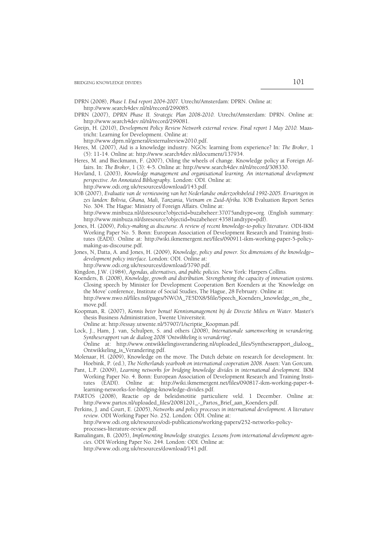DPRN (2008), *Phase I. End report 2004-2007.* Utrecht/Amsterdam: DPRN. Online at: http://www.search4dev.nl/nl/record/299085.

- DPRN (2007), *DPRN Phase II. Strategic Plan 2008-2010.* Utrecht/Amsterdam: DPRN. Online at: http://www.search4dev.nl/nl/record/299081.
- Greijn, H. (2010), *Development Policy Review Network external review. Final report 1 May 2010.* Maastricht: Learning for Development. Online at:

http://www.dprn.nl/general/externalreview2010.pdf.

- Heres, M. (2007), Aid is a knowledge industry. NGOs: learning from experience? In: *The Broker*, 1 (5): 11-14. Online at: http://www.search4dev.nl/document/137934.
- Heres, M. and Bieckmann, F. (2007), Oiling the wheels of change. Knowledge policy at Foreign Affairs. In: *The Broker*, 1 (3): 4-5. Online at: http://www.search4dev.nl/nl/record/308330.
- Hovland, I. (2003), *Knowledge management and organisational learning. An international development perspective. An Annotated Bibliography.* London: ODI. Online at:
	- http://www.odi.org.uk/resources/download/143.pdf.
- IOB (2007), *Evaluatie van de vernieuwing van het Nederlandse onderzoeksbeleid 1992-2005. Ervaringen in zes landen: Bolivia, Ghana, Mali, Tanzania, Vietnam en Zuid-Afrika.* IOB Evaluation Report Series No. 304. The Hague: Ministry of Foreign Affairs. Online at:

 http://www.minbuza.nl/dsresource?objectid=buzabeheer:37075andtype=org. (English summary: http://www.minbuza.nl/dsresource?objectid=buzabeheer:43581andtype=pdf).

- Jones, H. (2009), *Policy-making as discourse. A review of recent knowledge-to-policy literature.* ODI-IKM Working Paper No. 5. Bonn: European Association of Development Research and Training Institutes (EADI). Online at: http://wiki.ikmemergent.net/files/090911-ikm-working-paper-5-policymaking-as-discourse.pdf.
- Jones, N, Datta, A. and Jones, H. (2009), *Knowledge, policy and power. Six dimensions of the knowledge– development policy interface.* London: ODI. Online at:
	- http://www.odi.org.uk/resources/download/3790.pdf.

Kingdon, J.W. (1984), *Agendas, alternatives, and public policies.* New York: Harpers Collins.

Koenders, B. (2008), *Knowledge, growth and distribution. Strengthening the capacity of innovation systems.* Closing speech by Minister for Development Cooperation Bert Koenders at the 'Knowledge on the Move' conference, Institute of Social Studies, The Hague, 28 February. Online at:

 http://www.nwo.nl/files.nsf/pages/NWOA\_7E5DX8/\$file/Speech\_Koenders\_knowledge\_on\_the\_ move.pdf.

- Koopman, R. (2007), *Kennis beter benut! Kennismanagement bij de Directie Milieu en Water.* Master's thesis Business Administration, Twente Universiteit*.*
- Online at: http://essay.utwente.nl/57907/1/scriptie\_Koopman.pdf.
- Lock, J., Ham, J. van, Schulpen, S. and others (2008), *Internationale samenwerking in verandering. Syntheserapport van de dialoog 2008 'Ontwikkeling is verandering'.*

 Online at: http://www.ontwikkelingisverandering.nl/uploaded\_files/Syntheserapport\_dialoog\_ Ontwikkeling\_is\_Verandering.pdf.

- Molenaar, H. (2009), Knowledge on the move. The Dutch debate on research for development. In: Hoebink, P. (ed.), *The Netherlands yearbook on international cooperation 2008.* Assen: Van Gorcum.
- Pant, L.P. (2009), *Learning networks for bridging knowledge divides in international development.* IKM Working Paper No. 4. Bonn: European Association of Development Research and Training Institutes (EADI). Online at: http://wiki.ikmemergent.net/files/090817-ikm-working-paper-4 learning-networks-for-bridging-knowledge-divides.pdf.
- PARTOS (2008), Reactie op de beleidsnotitie particuliere veld. 1 December. Online at: http://www.partos.nl/uploaded\_files/20081201\_-\_Partos\_Brief\_aan\_Koenders.pdf.
- Perkins, J. and Court, E. (2005), *Networks and policy processes in international development. A literature review.* ODI Working Paper No. 252. London: ODI. Online at:

 http://www.odi.org.uk/resources/odi-publications/working-papers/252-networks-policyprocesses-literature-review.pdf.

Ramalingam, B. (2005), *Implementing knowledge strategies. Lessons from international development agencies.* ODI Working Paper No. 244. London: ODI. Online at: http://www.odi.org.uk/resources/download/141.pdf.